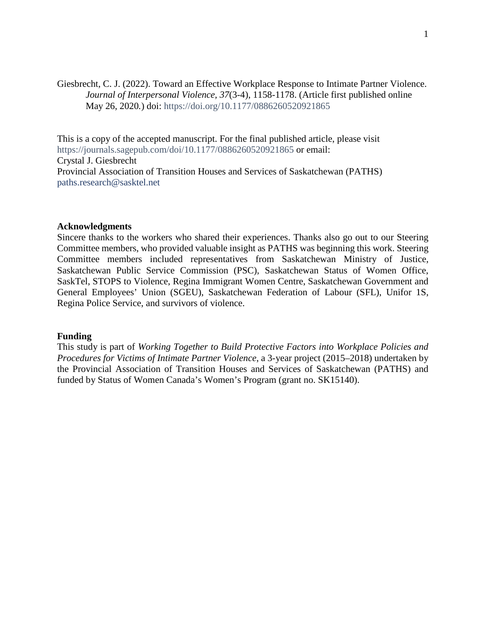Giesbrecht, C. J. (2022). Toward an Effective Workplace Response to Intimate Partner Violence. *Journal of Interpersonal Violence, 37*(3-4), 1158-1178. (Article first published online May 26, 2020*.*) doi:<https://doi.org/10.1177/0886260520921865>

This is a copy of the accepted manuscript. For the final published article, please visit <https://journals.sagepub.com/doi/10.1177/0886260520921865> or email: Crystal J. Giesbrecht Provincial Association of Transition Houses and Services of Saskatchewan (PATHS) [paths.research@sasktel.net](mailto:paths.research@sasktel.net)

# **Acknowledgments**

Sincere thanks to the workers who shared their experiences. Thanks also go out to our Steering Committee members, who provided valuable insight as PATHS was beginning this work. Steering Committee members included representatives from Saskatchewan Ministry of Justice, Saskatchewan Public Service Commission (PSC), Saskatchewan Status of Women Office, SaskTel, STOPS to Violence, Regina Immigrant Women Centre, Saskatchewan Government and General Employees' Union (SGEU), Saskatchewan Federation of Labour (SFL), Unifor 1S, Regina Police Service, and survivors of violence.

### **Funding**

This study is part of *Working Together to Build Protective Factors into Workplace Policies and Procedures for Victims of Intimate Partner Violence*, a 3-year project (2015–2018) undertaken by the Provincial Association of Transition Houses and Services of Saskatchewan (PATHS) and funded by Status of Women Canada's Women's Program (grant no. SK15140).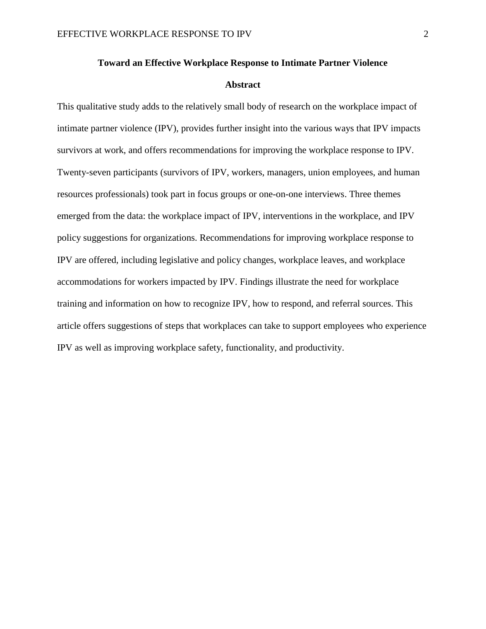# **Toward an Effective Workplace Response to Intimate Partner Violence**

### **Abstract**

This qualitative study adds to the relatively small body of research on the workplace impact of intimate partner violence (IPV), provides further insight into the various ways that IPV impacts survivors at work, and offers recommendations for improving the workplace response to IPV. Twenty-seven participants (survivors of IPV, workers, managers, union employees, and human resources professionals) took part in focus groups or one-on-one interviews. Three themes emerged from the data: the workplace impact of IPV, interventions in the workplace, and IPV policy suggestions for organizations. Recommendations for improving workplace response to IPV are offered, including legislative and policy changes, workplace leaves, and workplace accommodations for workers impacted by IPV. Findings illustrate the need for workplace training and information on how to recognize IPV, how to respond, and referral sources. This article offers suggestions of steps that workplaces can take to support employees who experience IPV as well as improving workplace safety, functionality, and productivity.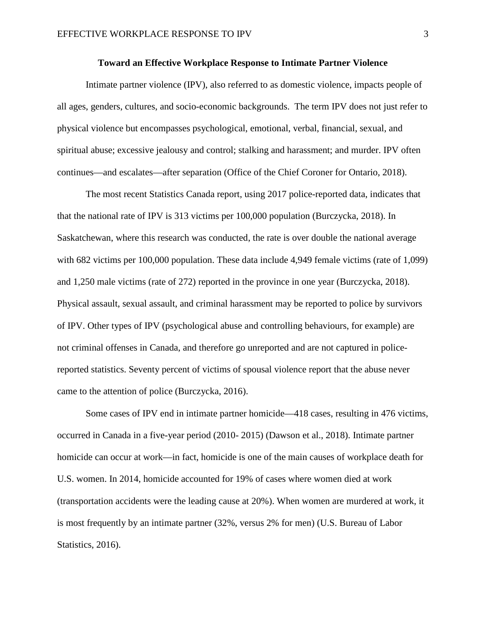# **Toward an Effective Workplace Response to Intimate Partner Violence**

Intimate partner violence (IPV), also referred to as domestic violence, impacts people of all ages, genders, cultures, and socio-economic backgrounds. The term IPV does not just refer to physical violence but encompasses psychological, emotional, verbal, financial, sexual, and spiritual abuse; excessive jealousy and control; stalking and harassment; and murder. IPV often continues—and escalates—after separation (Office of the Chief Coroner for Ontario, 2018).

The most recent Statistics Canada report, using 2017 police-reported data, indicates that that the national rate of IPV is 313 victims per 100,000 population (Burczycka, 2018). In Saskatchewan, where this research was conducted, the rate is over double the national average with 682 victims per 100,000 population. These data include 4,949 female victims (rate of 1,099) and 1,250 male victims (rate of 272) reported in the province in one year (Burczycka, 2018). Physical assault, sexual assault, and criminal harassment may be reported to police by survivors of IPV. Other types of IPV (psychological abuse and controlling behaviours, for example) are not criminal offenses in Canada, and therefore go unreported and are not captured in policereported statistics. Seventy percent of victims of spousal violence report that the abuse never came to the attention of police (Burczycka, 2016).

Some cases of IPV end in intimate partner homicide—418 cases, resulting in 476 victims, occurred in Canada in a five-year period (2010- 2015) (Dawson et al., 2018). Intimate partner homicide can occur at work—in fact, homicide is one of the main causes of workplace death for U.S. women. In 2014, homicide accounted for 19% of cases where women died at work (transportation accidents were the leading cause at 20%). When women are murdered at work, it is most frequently by an intimate partner (32%, versus 2% for men) (U.S. Bureau of Labor Statistics, 2016).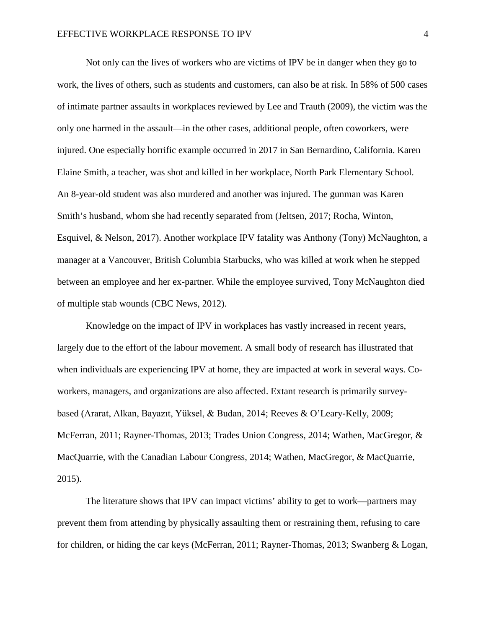Not only can the lives of workers who are victims of IPV be in danger when they go to work, the lives of others, such as students and customers, can also be at risk. In 58% of 500 cases of intimate partner assaults in workplaces reviewed by Lee and Trauth (2009), the victim was the only one harmed in the assault—in the other cases, additional people, often coworkers, were injured. One especially horrific example occurred in 2017 in San Bernardino, California. Karen Elaine Smith, a teacher, was shot and killed in her workplace, North Park Elementary School. An 8-year-old student was also murdered and another was injured. The gunman was Karen Smith's husband, whom she had recently separated from (Jeltsen, 2017; Rocha, Winton, Esquivel, & Nelson, 2017). Another workplace IPV fatality was Anthony (Tony) McNaughton, a manager at a Vancouver, British Columbia Starbucks, who was killed at work when he stepped between an employee and her ex-partner. While the employee survived, Tony McNaughton died of multiple stab wounds (CBC News, 2012).

Knowledge on the impact of IPV in workplaces has vastly increased in recent years, largely due to the effort of the labour movement. A small body of research has illustrated that when individuals are experiencing IPV at home, they are impacted at work in several ways. Coworkers, managers, and organizations are also affected. Extant research is primarily surveybased (Ararat, Alkan, Bayazıt, Yüksel, & Budan, 2014; Reeves & O'Leary-Kelly, 2009; McFerran, 2011; Rayner-Thomas, 2013; Trades Union Congress, 2014; Wathen, MacGregor, & MacQuarrie, with the Canadian Labour Congress, 2014; Wathen, MacGregor, & MacQuarrie, 2015).

The literature shows that IPV can impact victims' ability to get to work—partners may prevent them from attending by physically assaulting them or restraining them, refusing to care for children, or hiding the car keys (McFerran, 2011; Rayner-Thomas, 2013; Swanberg & Logan,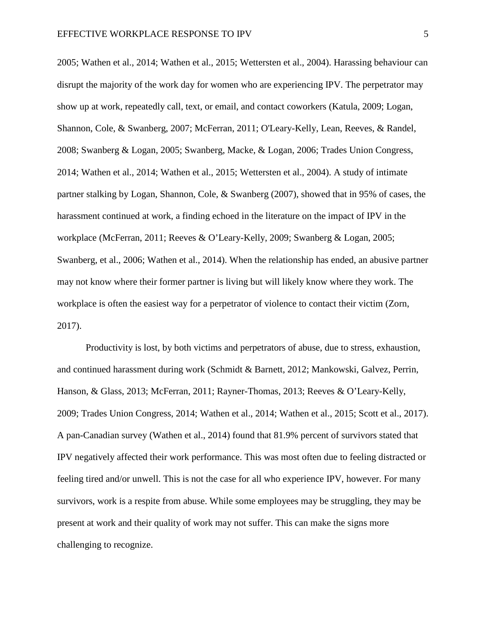2005; Wathen et al., 2014; Wathen et al., 2015; Wettersten et al., 2004). Harassing behaviour can disrupt the majority of the work day for women who are experiencing IPV. The perpetrator may show up at work, repeatedly call, text, or email, and contact coworkers (Katula, 2009; Logan, Shannon, Cole, & Swanberg, 2007; McFerran, 2011; O'Leary-Kelly, Lean, Reeves, & Randel, 2008; Swanberg & Logan, 2005; Swanberg, Macke, & Logan, 2006; Trades Union Congress, 2014; Wathen et al., 2014; Wathen et al., 2015; Wettersten et al., 2004). A study of intimate partner stalking by Logan, Shannon, Cole, & Swanberg (2007), showed that in 95% of cases, the harassment continued at work, a finding echoed in the literature on the impact of IPV in the workplace (McFerran, 2011; Reeves & O'Leary-Kelly, 2009; Swanberg & Logan, 2005; Swanberg, et al., 2006; Wathen et al., 2014). When the relationship has ended, an abusive partner may not know where their former partner is living but will likely know where they work. The workplace is often the easiest way for a perpetrator of violence to contact their victim (Zorn, 2017).

Productivity is lost, by both victims and perpetrators of abuse, due to stress, exhaustion, and continued harassment during work (Schmidt & Barnett, 2012; Mankowski, Galvez, Perrin, Hanson, & Glass, 2013; McFerran, 2011; Rayner-Thomas, 2013; Reeves & O'Leary-Kelly, 2009; Trades Union Congress, 2014; Wathen et al., 2014; Wathen et al., 2015; Scott et al., 2017). A pan-Canadian survey (Wathen et al., 2014) found that 81.9% percent of survivors stated that IPV negatively affected their work performance. This was most often due to feeling distracted or feeling tired and/or unwell. This is not the case for all who experience IPV, however. For many survivors, work is a respite from abuse. While some employees may be struggling, they may be present at work and their quality of work may not suffer. This can make the signs more challenging to recognize.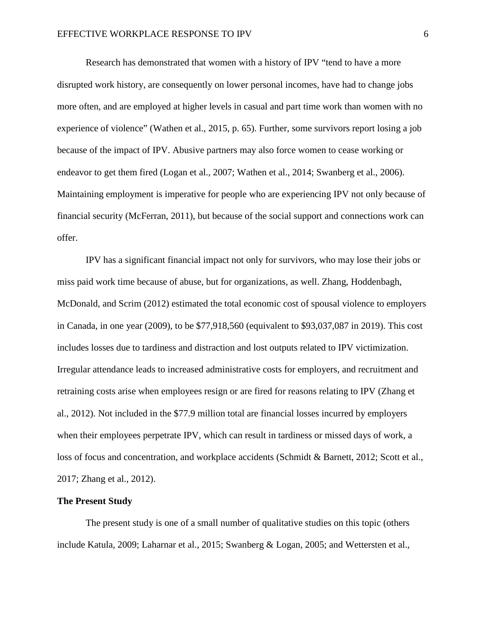Research has demonstrated that women with a history of IPV "tend to have a more disrupted work history, are consequently on lower personal incomes, have had to change jobs more often, and are employed at higher levels in casual and part time work than women with no experience of violence" (Wathen et al., 2015, p. 65). Further, some survivors report losing a job because of the impact of IPV. Abusive partners may also force women to cease working or endeavor to get them fired (Logan et al., 2007; Wathen et al., 2014; Swanberg et al., 2006). Maintaining employment is imperative for people who are experiencing IPV not only because of financial security (McFerran, 2011), but because of the social support and connections work can offer.

IPV has a significant financial impact not only for survivors, who may lose their jobs or miss paid work time because of abuse, but for organizations, as well. Zhang, Hoddenbagh, McDonald, and Scrim (2012) estimated the total economic cost of spousal violence to employers in Canada, in one year (2009), to be \$77,918,560 (equivalent to \$93,037,087 in 2019). This cost includes losses due to tardiness and distraction and lost outputs related to IPV victimization. Irregular attendance leads to increased administrative costs for employers, and recruitment and retraining costs arise when employees resign or are fired for reasons relating to IPV (Zhang et al., 2012). Not included in the \$77.9 million total are financial losses incurred by employers when their employees perpetrate IPV, which can result in tardiness or missed days of work, a loss of focus and concentration, and workplace accidents (Schmidt & Barnett, 2012; Scott et al., 2017; Zhang et al., 2012).

### **The Present Study**

The present study is one of a small number of qualitative studies on this topic (others include Katula, 2009; Laharnar et al., 2015; Swanberg & Logan, 2005; and Wettersten et al.,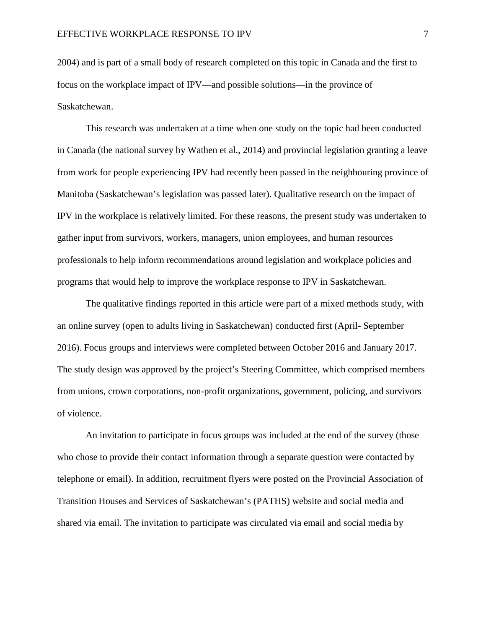2004) and is part of a small body of research completed on this topic in Canada and the first to focus on the workplace impact of IPV—and possible solutions—in the province of Saskatchewan.

This research was undertaken at a time when one study on the topic had been conducted in Canada (the national survey by Wathen et al., 2014) and provincial legislation granting a leave from work for people experiencing IPV had recently been passed in the neighbouring province of Manitoba (Saskatchewan's legislation was passed later). Qualitative research on the impact of IPV in the workplace is relatively limited. For these reasons, the present study was undertaken to gather input from survivors, workers, managers, union employees, and human resources professionals to help inform recommendations around legislation and workplace policies and programs that would help to improve the workplace response to IPV in Saskatchewan.

The qualitative findings reported in this article were part of a mixed methods study, with an online survey (open to adults living in Saskatchewan) conducted first (April- September 2016). Focus groups and interviews were completed between October 2016 and January 2017. The study design was approved by the project's Steering Committee, which comprised members from unions, crown corporations, non-profit organizations, government, policing, and survivors of violence.

An invitation to participate in focus groups was included at the end of the survey (those who chose to provide their contact information through a separate question were contacted by telephone or email). In addition, recruitment flyers were posted on the Provincial Association of Transition Houses and Services of Saskatchewan's (PATHS) website and social media and shared via email. The invitation to participate was circulated via email and social media by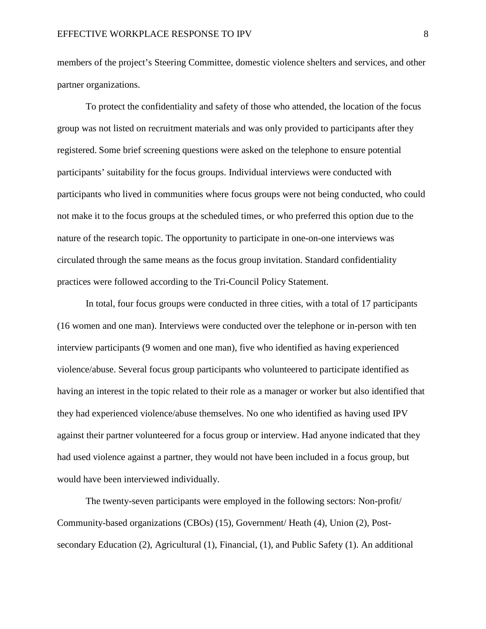members of the project's Steering Committee, domestic violence shelters and services, and other partner organizations.

To protect the confidentiality and safety of those who attended, the location of the focus group was not listed on recruitment materials and was only provided to participants after they registered. Some brief screening questions were asked on the telephone to ensure potential participants' suitability for the focus groups. Individual interviews were conducted with participants who lived in communities where focus groups were not being conducted, who could not make it to the focus groups at the scheduled times, or who preferred this option due to the nature of the research topic. The opportunity to participate in one-on-one interviews was circulated through the same means as the focus group invitation. Standard confidentiality practices were followed according to the Tri-Council Policy Statement.

In total, four focus groups were conducted in three cities, with a total of 17 participants (16 women and one man). Interviews were conducted over the telephone or in-person with ten interview participants (9 women and one man), five who identified as having experienced violence/abuse. Several focus group participants who volunteered to participate identified as having an interest in the topic related to their role as a manager or worker but also identified that they had experienced violence/abuse themselves. No one who identified as having used IPV against their partner volunteered for a focus group or interview. Had anyone indicated that they had used violence against a partner, they would not have been included in a focus group, but would have been interviewed individually.

The twenty-seven participants were employed in the following sectors: Non-profit/ Community-based organizations (CBOs) (15), Government/ Heath (4), Union (2), Postsecondary Education (2), Agricultural (1), Financial, (1), and Public Safety (1). An additional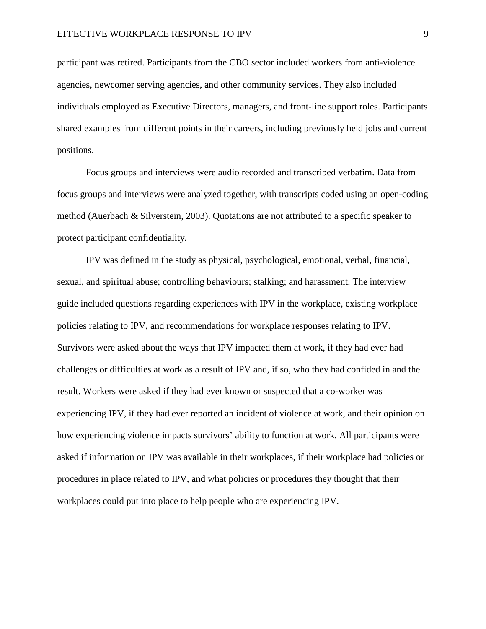participant was retired. Participants from the CBO sector included workers from anti-violence agencies, newcomer serving agencies, and other community services. They also included individuals employed as Executive Directors, managers, and front-line support roles. Participants shared examples from different points in their careers, including previously held jobs and current positions.

Focus groups and interviews were audio recorded and transcribed verbatim. Data from focus groups and interviews were analyzed together, with transcripts coded using an open-coding method (Auerbach & Silverstein, 2003). Quotations are not attributed to a specific speaker to protect participant confidentiality.

IPV was defined in the study as physical, psychological, emotional, verbal, financial, sexual, and spiritual abuse; controlling behaviours; stalking; and harassment. The interview guide included questions regarding experiences with IPV in the workplace, existing workplace policies relating to IPV, and recommendations for workplace responses relating to IPV. Survivors were asked about the ways that IPV impacted them at work, if they had ever had challenges or difficulties at work as a result of IPV and, if so, who they had confided in and the result. Workers were asked if they had ever known or suspected that a co-worker was experiencing IPV, if they had ever reported an incident of violence at work, and their opinion on how experiencing violence impacts survivors' ability to function at work. All participants were asked if information on IPV was available in their workplaces, if their workplace had policies or procedures in place related to IPV, and what policies or procedures they thought that their workplaces could put into place to help people who are experiencing IPV.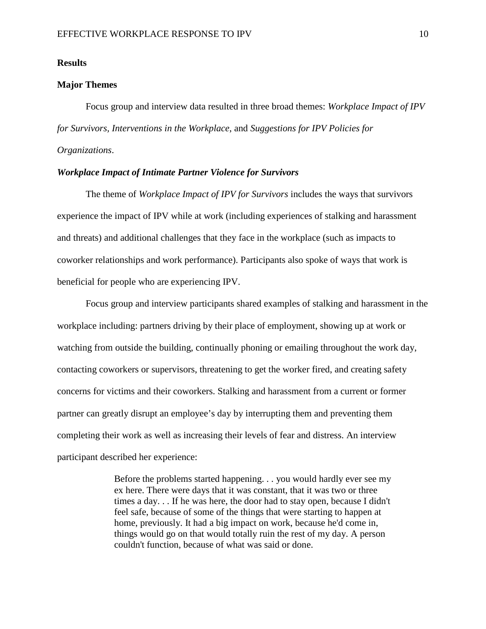# **Results**

# **Major Themes**

Focus group and interview data resulted in three broad themes: *Workplace Impact of IPV for Survivors, Interventions in the Workplace*, and *Suggestions for IPV Policies for Organizations*.

# *Workplace Impact of Intimate Partner Violence for Survivors*

The theme of *Workplace Impact of IPV for Survivors* includes the ways that survivors experience the impact of IPV while at work (including experiences of stalking and harassment and threats) and additional challenges that they face in the workplace (such as impacts to coworker relationships and work performance). Participants also spoke of ways that work is beneficial for people who are experiencing IPV.

Focus group and interview participants shared examples of stalking and harassment in the workplace including: partners driving by their place of employment, showing up at work or watching from outside the building, continually phoning or emailing throughout the work day, contacting coworkers or supervisors, threatening to get the worker fired, and creating safety concerns for victims and their coworkers. Stalking and harassment from a current or former partner can greatly disrupt an employee's day by interrupting them and preventing them completing their work as well as increasing their levels of fear and distress. An interview participant described her experience:

> Before the problems started happening. . . you would hardly ever see my ex here. There were days that it was constant, that it was two or three times a day. . . If he was here, the door had to stay open, because I didn't feel safe, because of some of the things that were starting to happen at home, previously. It had a big impact on work, because he'd come in, things would go on that would totally ruin the rest of my day. A person couldn't function, because of what was said or done.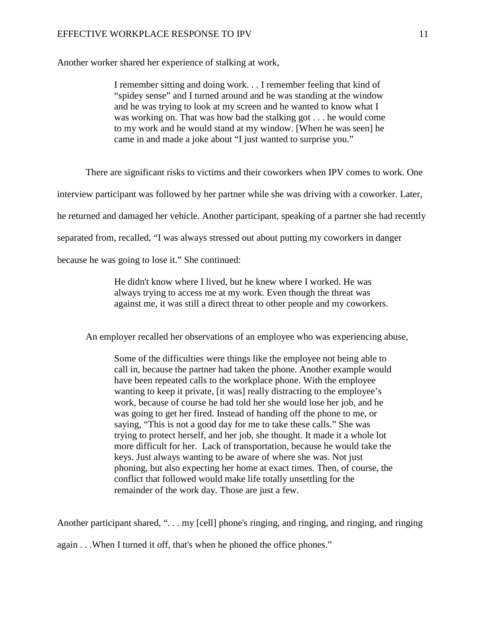Another worker shared her experience of stalking at work,

I remember sitting and doing work. . . I remember feeling that kind of "spidey sense" and I turned around and he was standing at the window and he was trying to look at my screen and he wanted to know what I was working on. That was how bad the stalking got . . . he would come to my work and he would stand at my window. [When he was seen] he came in and made a joke about "I just wanted to surprise you."

There are significant risks to victims and their coworkers when IPV comes to work. One

interview participant was followed by her partner while she was driving with a coworker. Later,

he returned and damaged her vehicle. Another participant, speaking of a partner she had recently

separated from, recalled, "I was always stressed out about putting my coworkers in danger

because he was going to lose it." She continued:

He didn't know where I lived, but he knew where I worked. He was always trying to access me at my work. Even though the threat was against me, it was still a direct threat to other people and my coworkers.

An employer recalled her observations of an employee who was experiencing abuse,

Some of the difficulties were things like the employee not being able to call in, because the partner had taken the phone. Another example would have been repeated calls to the workplace phone. With the employee wanting to keep it private, [it was] really distracting to the employee's work, because of course he had told her she would lose her job, and he was going to get her fired. Instead of handing off the phone to me, or saying, "This is not a good day for me to take these calls." She was trying to protect herself, and her job, she thought. It made it a whole lot more difficult for her. Lack of transportation, because he would take the keys. Just always wanting to be aware of where she was. Not just phoning, but also expecting her home at exact times. Then, of course, the conflict that followed would make life totally unsettling for the remainder of the work day. Those are just a few.

Another participant shared, ". . . my [cell] phone's ringing, and ringing, and ringing, and ringing again . . .When I turned it off, that's when he phoned the office phones."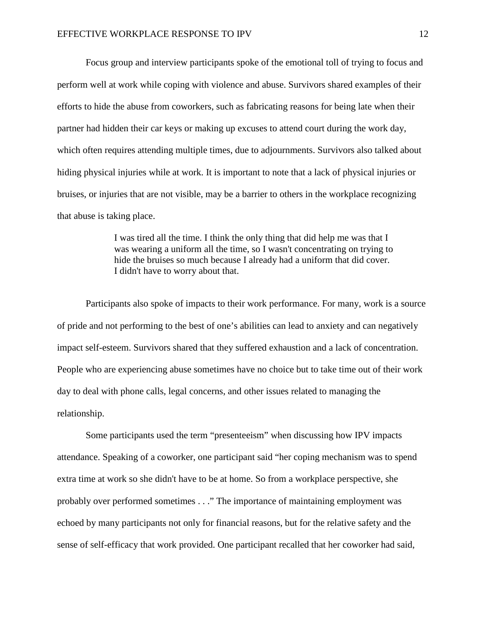Focus group and interview participants spoke of the emotional toll of trying to focus and perform well at work while coping with violence and abuse. Survivors shared examples of their efforts to hide the abuse from coworkers, such as fabricating reasons for being late when their partner had hidden their car keys or making up excuses to attend court during the work day, which often requires attending multiple times, due to adjournments. Survivors also talked about hiding physical injuries while at work. It is important to note that a lack of physical injuries or bruises, or injuries that are not visible, may be a barrier to others in the workplace recognizing that abuse is taking place.

> I was tired all the time. I think the only thing that did help me was that I was wearing a uniform all the time, so I wasn't concentrating on trying to hide the bruises so much because I already had a uniform that did cover. I didn't have to worry about that.

Participants also spoke of impacts to their work performance. For many, work is a source of pride and not performing to the best of one's abilities can lead to anxiety and can negatively impact self-esteem. Survivors shared that they suffered exhaustion and a lack of concentration. People who are experiencing abuse sometimes have no choice but to take time out of their work day to deal with phone calls, legal concerns, and other issues related to managing the relationship.

Some participants used the term "presenteeism" when discussing how IPV impacts attendance. Speaking of a coworker, one participant said "her coping mechanism was to spend extra time at work so she didn't have to be at home. So from a workplace perspective, she probably over performed sometimes . . ." The importance of maintaining employment was echoed by many participants not only for financial reasons, but for the relative safety and the sense of self-efficacy that work provided. One participant recalled that her coworker had said,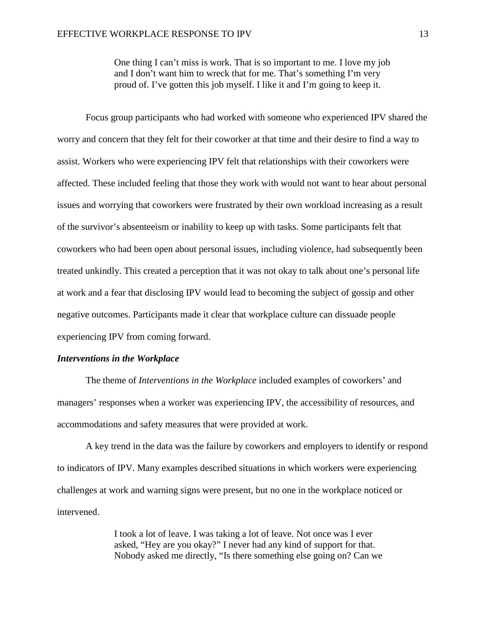One thing I can't miss is work. That is so important to me. I love my job and I don't want him to wreck that for me. That's something I'm very proud of. I've gotten this job myself. I like it and I'm going to keep it.

Focus group participants who had worked with someone who experienced IPV shared the worry and concern that they felt for their coworker at that time and their desire to find a way to assist. Workers who were experiencing IPV felt that relationships with their coworkers were affected. These included feeling that those they work with would not want to hear about personal issues and worrying that coworkers were frustrated by their own workload increasing as a result of the survivor's absenteeism or inability to keep up with tasks. Some participants felt that coworkers who had been open about personal issues, including violence, had subsequently been treated unkindly. This created a perception that it was not okay to talk about one's personal life at work and a fear that disclosing IPV would lead to becoming the subject of gossip and other negative outcomes. Participants made it clear that workplace culture can dissuade people experiencing IPV from coming forward.

# *Interventions in the Workplace*

The theme of *Interventions in the Workplace* included examples of coworkers' and managers' responses when a worker was experiencing IPV, the accessibility of resources, and accommodations and safety measures that were provided at work.

A key trend in the data was the failure by coworkers and employers to identify or respond to indicators of IPV. Many examples described situations in which workers were experiencing challenges at work and warning signs were present, but no one in the workplace noticed or intervened.

> I took a lot of leave. I was taking a lot of leave. Not once was I ever asked, "Hey are you okay?" I never had any kind of support for that. Nobody asked me directly, "Is there something else going on? Can we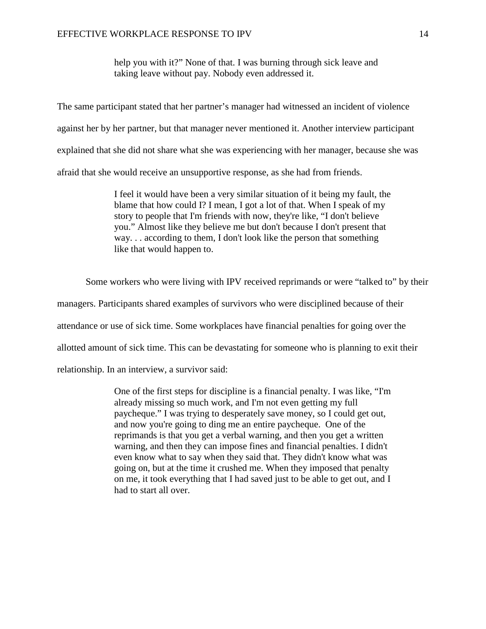help you with it?" None of that. I was burning through sick leave and taking leave without pay. Nobody even addressed it.

The same participant stated that her partner's manager had witnessed an incident of violence against her by her partner, but that manager never mentioned it. Another interview participant explained that she did not share what she was experiencing with her manager, because she was afraid that she would receive an unsupportive response, as she had from friends.

> I feel it would have been a very similar situation of it being my fault, the blame that how could I? I mean, I got a lot of that. When I speak of my story to people that I'm friends with now, they're like, "I don't believe you." Almost like they believe me but don't because I don't present that way. . . according to them, I don't look like the person that something like that would happen to.

Some workers who were living with IPV received reprimands or were "talked to" by their

managers. Participants shared examples of survivors who were disciplined because of their

attendance or use of sick time. Some workplaces have financial penalties for going over the

allotted amount of sick time. This can be devastating for someone who is planning to exit their

relationship. In an interview, a survivor said:

One of the first steps for discipline is a financial penalty. I was like, "I'm already missing so much work, and I'm not even getting my full paycheque." I was trying to desperately save money, so I could get out, and now you're going to ding me an entire paycheque. One of the reprimands is that you get a verbal warning, and then you get a written warning, and then they can impose fines and financial penalties. I didn't even know what to say when they said that. They didn't know what was going on, but at the time it crushed me. When they imposed that penalty on me, it took everything that I had saved just to be able to get out, and I had to start all over.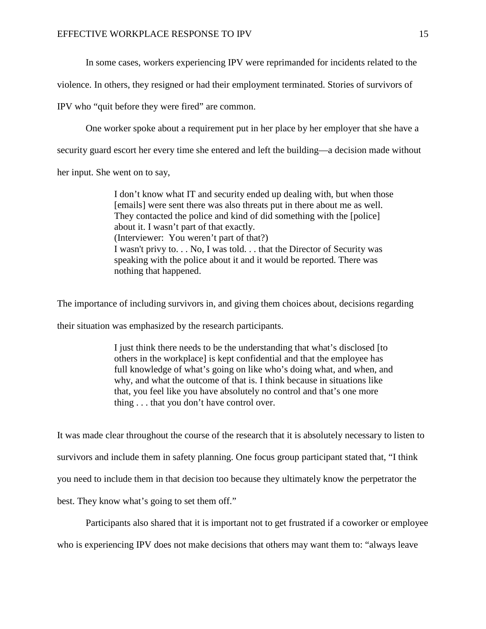In some cases, workers experiencing IPV were reprimanded for incidents related to the

violence. In others, they resigned or had their employment terminated. Stories of survivors of

IPV who "quit before they were fired" are common.

One worker spoke about a requirement put in her place by her employer that she have a

security guard escort her every time she entered and left the building—a decision made without

her input. She went on to say,

I don't know what IT and security ended up dealing with, but when those [emails] were sent there was also threats put in there about me as well. They contacted the police and kind of did something with the [police] about it. I wasn't part of that exactly. (Interviewer: You weren't part of that?) I wasn't privy to. . . No, I was told. . . that the Director of Security was speaking with the police about it and it would be reported. There was nothing that happened.

The importance of including survivors in, and giving them choices about, decisions regarding

their situation was emphasized by the research participants.

I just think there needs to be the understanding that what's disclosed [to others in the workplace] is kept confidential and that the employee has full knowledge of what's going on like who's doing what, and when, and why, and what the outcome of that is. I think because in situations like that, you feel like you have absolutely no control and that's one more thing . . . that you don't have control over.

It was made clear throughout the course of the research that it is absolutely necessary to listen to survivors and include them in safety planning. One focus group participant stated that, "I think you need to include them in that decision too because they ultimately know the perpetrator the best. They know what's going to set them off."

Participants also shared that it is important not to get frustrated if a coworker or employee who is experiencing IPV does not make decisions that others may want them to: "always leave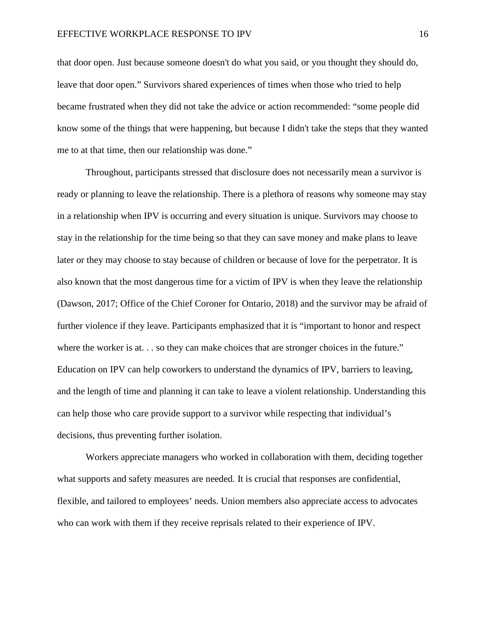that door open. Just because someone doesn't do what you said, or you thought they should do, leave that door open." Survivors shared experiences of times when those who tried to help became frustrated when they did not take the advice or action recommended: "some people did know some of the things that were happening, but because I didn't take the steps that they wanted me to at that time, then our relationship was done."

Throughout, participants stressed that disclosure does not necessarily mean a survivor is ready or planning to leave the relationship. There is a plethora of reasons why someone may stay in a relationship when IPV is occurring and every situation is unique. Survivors may choose to stay in the relationship for the time being so that they can save money and make plans to leave later or they may choose to stay because of children or because of love for the perpetrator. It is also known that the most dangerous time for a victim of IPV is when they leave the relationship (Dawson, 2017; Office of the Chief Coroner for Ontario, 2018) and the survivor may be afraid of further violence if they leave. Participants emphasized that it is "important to honor and respect where the worker is at... so they can make choices that are stronger choices in the future." Education on IPV can help coworkers to understand the dynamics of IPV, barriers to leaving, and the length of time and planning it can take to leave a violent relationship. Understanding this can help those who care provide support to a survivor while respecting that individual's decisions, thus preventing further isolation.

Workers appreciate managers who worked in collaboration with them, deciding together what supports and safety measures are needed. It is crucial that responses are confidential, flexible, and tailored to employees' needs. Union members also appreciate access to advocates who can work with them if they receive reprisals related to their experience of IPV.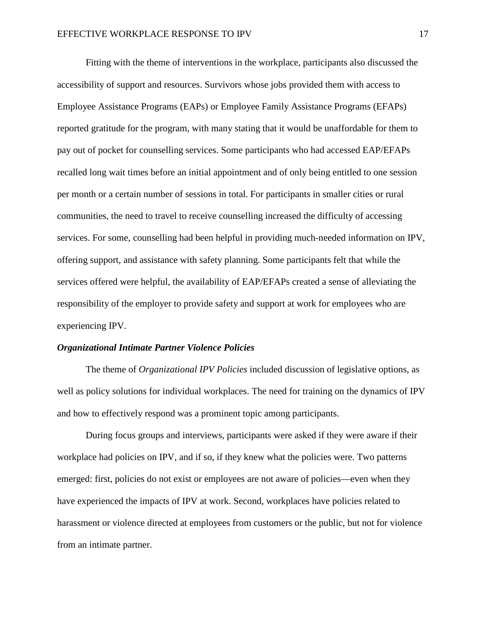Fitting with the theme of interventions in the workplace, participants also discussed the accessibility of support and resources. Survivors whose jobs provided them with access to Employee Assistance Programs (EAPs) or Employee Family Assistance Programs (EFAPs) reported gratitude for the program, with many stating that it would be unaffordable for them to pay out of pocket for counselling services. Some participants who had accessed EAP/EFAPs recalled long wait times before an initial appointment and of only being entitled to one session per month or a certain number of sessions in total. For participants in smaller cities or rural communities, the need to travel to receive counselling increased the difficulty of accessing services. For some, counselling had been helpful in providing much-needed information on IPV, offering support, and assistance with safety planning. Some participants felt that while the services offered were helpful, the availability of EAP/EFAPs created a sense of alleviating the responsibility of the employer to provide safety and support at work for employees who are experiencing IPV.

# *Organizational Intimate Partner Violence Policies*

The theme of *Organizational IPV Policies* included discussion of legislative options, as well as policy solutions for individual workplaces. The need for training on the dynamics of IPV and how to effectively respond was a prominent topic among participants.

During focus groups and interviews, participants were asked if they were aware if their workplace had policies on IPV, and if so, if they knew what the policies were. Two patterns emerged: first, policies do not exist or employees are not aware of policies—even when they have experienced the impacts of IPV at work. Second, workplaces have policies related to harassment or violence directed at employees from customers or the public, but not for violence from an intimate partner.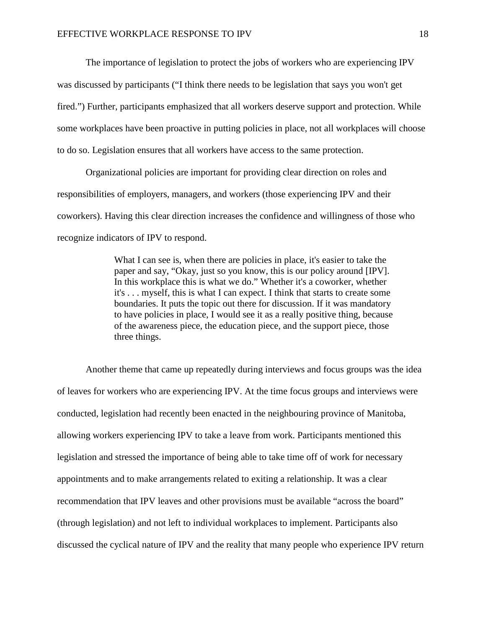The importance of legislation to protect the jobs of workers who are experiencing IPV was discussed by participants ("I think there needs to be legislation that says you won't get fired.") Further, participants emphasized that all workers deserve support and protection. While some workplaces have been proactive in putting policies in place, not all workplaces will choose to do so. Legislation ensures that all workers have access to the same protection.

Organizational policies are important for providing clear direction on roles and responsibilities of employers, managers, and workers (those experiencing IPV and their coworkers). Having this clear direction increases the confidence and willingness of those who recognize indicators of IPV to respond.

> What I can see is, when there are policies in place, it's easier to take the paper and say, "Okay, just so you know, this is our policy around [IPV]. In this workplace this is what we do." Whether it's a coworker, whether it's . . . myself, this is what I can expect. I think that starts to create some boundaries. It puts the topic out there for discussion. If it was mandatory to have policies in place, I would see it as a really positive thing, because of the awareness piece, the education piece, and the support piece, those three things.

Another theme that came up repeatedly during interviews and focus groups was the idea of leaves for workers who are experiencing IPV. At the time focus groups and interviews were conducted, legislation had recently been enacted in the neighbouring province of Manitoba, allowing workers experiencing IPV to take a leave from work. Participants mentioned this legislation and stressed the importance of being able to take time off of work for necessary appointments and to make arrangements related to exiting a relationship. It was a clear recommendation that IPV leaves and other provisions must be available "across the board" (through legislation) and not left to individual workplaces to implement. Participants also discussed the cyclical nature of IPV and the reality that many people who experience IPV return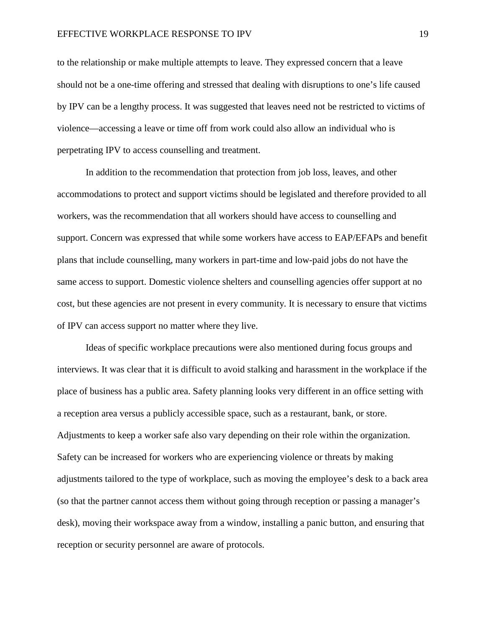to the relationship or make multiple attempts to leave. They expressed concern that a leave should not be a one-time offering and stressed that dealing with disruptions to one's life caused by IPV can be a lengthy process. It was suggested that leaves need not be restricted to victims of violence—accessing a leave or time off from work could also allow an individual who is perpetrating IPV to access counselling and treatment.

In addition to the recommendation that protection from job loss, leaves, and other accommodations to protect and support victims should be legislated and therefore provided to all workers, was the recommendation that all workers should have access to counselling and support. Concern was expressed that while some workers have access to EAP/EFAPs and benefit plans that include counselling, many workers in part-time and low-paid jobs do not have the same access to support. Domestic violence shelters and counselling agencies offer support at no cost, but these agencies are not present in every community. It is necessary to ensure that victims of IPV can access support no matter where they live.

Ideas of specific workplace precautions were also mentioned during focus groups and interviews. It was clear that it is difficult to avoid stalking and harassment in the workplace if the place of business has a public area. Safety planning looks very different in an office setting with a reception area versus a publicly accessible space, such as a restaurant, bank, or store. Adjustments to keep a worker safe also vary depending on their role within the organization. Safety can be increased for workers who are experiencing violence or threats by making adjustments tailored to the type of workplace, such as moving the employee's desk to a back area (so that the partner cannot access them without going through reception or passing a manager's desk), moving their workspace away from a window, installing a panic button, and ensuring that reception or security personnel are aware of protocols.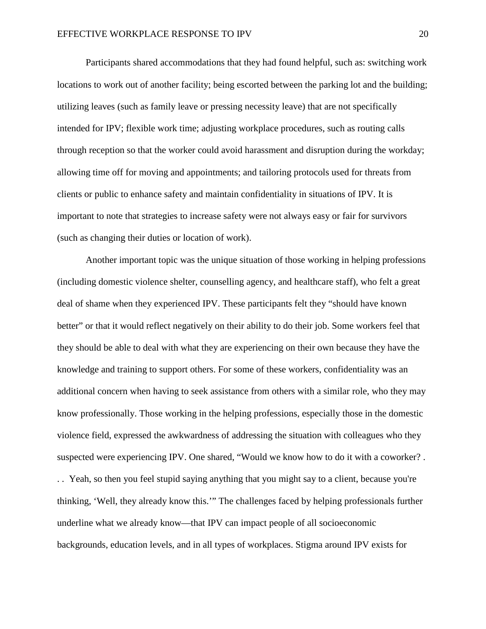Participants shared accommodations that they had found helpful, such as: switching work locations to work out of another facility; being escorted between the parking lot and the building; utilizing leaves (such as family leave or pressing necessity leave) that are not specifically intended for IPV; flexible work time; adjusting workplace procedures, such as routing calls through reception so that the worker could avoid harassment and disruption during the workday; allowing time off for moving and appointments; and tailoring protocols used for threats from clients or public to enhance safety and maintain confidentiality in situations of IPV. It is important to note that strategies to increase safety were not always easy or fair for survivors (such as changing their duties or location of work).

Another important topic was the unique situation of those working in helping professions (including domestic violence shelter, counselling agency, and healthcare staff), who felt a great deal of shame when they experienced IPV. These participants felt they "should have known better" or that it would reflect negatively on their ability to do their job. Some workers feel that they should be able to deal with what they are experiencing on their own because they have the knowledge and training to support others. For some of these workers, confidentiality was an additional concern when having to seek assistance from others with a similar role, who they may know professionally. Those working in the helping professions, especially those in the domestic violence field, expressed the awkwardness of addressing the situation with colleagues who they suspected were experiencing IPV. One shared, "Would we know how to do it with a coworker? . . . Yeah, so then you feel stupid saying anything that you might say to a client, because you're thinking, 'Well, they already know this.'" The challenges faced by helping professionals further underline what we already know—that IPV can impact people of all socioeconomic backgrounds, education levels, and in all types of workplaces. Stigma around IPV exists for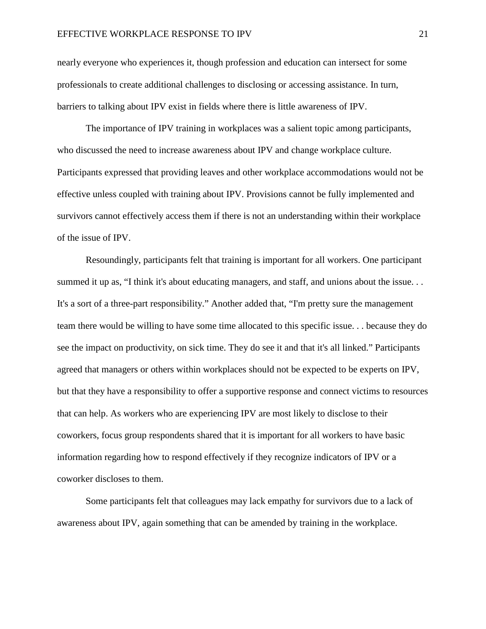nearly everyone who experiences it, though profession and education can intersect for some professionals to create additional challenges to disclosing or accessing assistance. In turn, barriers to talking about IPV exist in fields where there is little awareness of IPV.

The importance of IPV training in workplaces was a salient topic among participants, who discussed the need to increase awareness about IPV and change workplace culture. Participants expressed that providing leaves and other workplace accommodations would not be effective unless coupled with training about IPV. Provisions cannot be fully implemented and survivors cannot effectively access them if there is not an understanding within their workplace of the issue of IPV.

Resoundingly, participants felt that training is important for all workers. One participant summed it up as, "I think it's about educating managers, and staff, and unions about the issue. . . It's a sort of a three-part responsibility." Another added that, "I'm pretty sure the management team there would be willing to have some time allocated to this specific issue. . . because they do see the impact on productivity, on sick time. They do see it and that it's all linked." Participants agreed that managers or others within workplaces should not be expected to be experts on IPV, but that they have a responsibility to offer a supportive response and connect victims to resources that can help. As workers who are experiencing IPV are most likely to disclose to their coworkers, focus group respondents shared that it is important for all workers to have basic information regarding how to respond effectively if they recognize indicators of IPV or a coworker discloses to them.

Some participants felt that colleagues may lack empathy for survivors due to a lack of awareness about IPV, again something that can be amended by training in the workplace.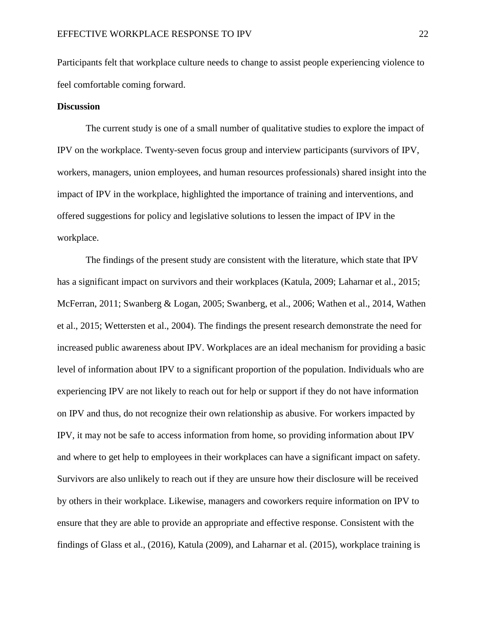Participants felt that workplace culture needs to change to assist people experiencing violence to feel comfortable coming forward.

# **Discussion**

The current study is one of a small number of qualitative studies to explore the impact of IPV on the workplace. Twenty-seven focus group and interview participants (survivors of IPV, workers, managers, union employees, and human resources professionals) shared insight into the impact of IPV in the workplace, highlighted the importance of training and interventions, and offered suggestions for policy and legislative solutions to lessen the impact of IPV in the workplace.

The findings of the present study are consistent with the literature, which state that IPV has a significant impact on survivors and their workplaces (Katula, 2009; Laharnar et al., 2015; McFerran, 2011; Swanberg & Logan, 2005; Swanberg, et al., 2006; Wathen et al., 2014, Wathen et al., 2015; Wettersten et al., 2004). The findings the present research demonstrate the need for increased public awareness about IPV. Workplaces are an ideal mechanism for providing a basic level of information about IPV to a significant proportion of the population. Individuals who are experiencing IPV are not likely to reach out for help or support if they do not have information on IPV and thus, do not recognize their own relationship as abusive. For workers impacted by IPV, it may not be safe to access information from home, so providing information about IPV and where to get help to employees in their workplaces can have a significant impact on safety. Survivors are also unlikely to reach out if they are unsure how their disclosure will be received by others in their workplace. Likewise, managers and coworkers require information on IPV to ensure that they are able to provide an appropriate and effective response. Consistent with the findings of Glass et al., (2016), Katula (2009), and Laharnar et al. (2015), workplace training is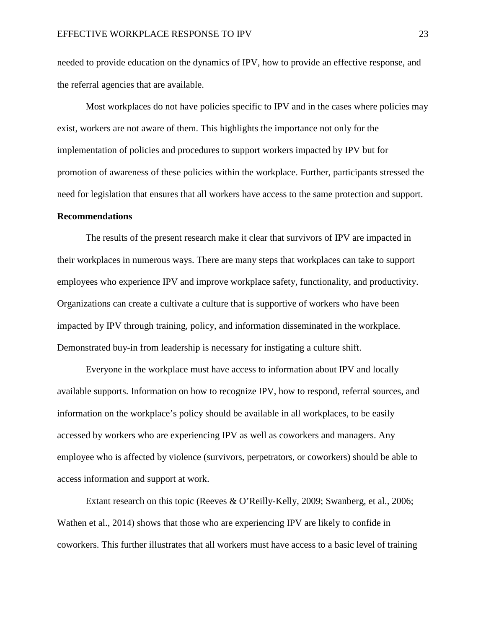needed to provide education on the dynamics of IPV, how to provide an effective response, and the referral agencies that are available.

Most workplaces do not have policies specific to IPV and in the cases where policies may exist, workers are not aware of them. This highlights the importance not only for the implementation of policies and procedures to support workers impacted by IPV but for promotion of awareness of these policies within the workplace. Further, participants stressed the need for legislation that ensures that all workers have access to the same protection and support.

### **Recommendations**

The results of the present research make it clear that survivors of IPV are impacted in their workplaces in numerous ways. There are many steps that workplaces can take to support employees who experience IPV and improve workplace safety, functionality, and productivity. Organizations can create a cultivate a culture that is supportive of workers who have been impacted by IPV through training, policy, and information disseminated in the workplace. Demonstrated buy-in from leadership is necessary for instigating a culture shift.

Everyone in the workplace must have access to information about IPV and locally available supports. Information on how to recognize IPV, how to respond, referral sources, and information on the workplace's policy should be available in all workplaces, to be easily accessed by workers who are experiencing IPV as well as coworkers and managers. Any employee who is affected by violence (survivors, perpetrators, or coworkers) should be able to access information and support at work.

Extant research on this topic (Reeves & O'Reilly-Kelly, 2009; Swanberg, et al., 2006; Wathen et al., 2014) shows that those who are experiencing IPV are likely to confide in coworkers. This further illustrates that all workers must have access to a basic level of training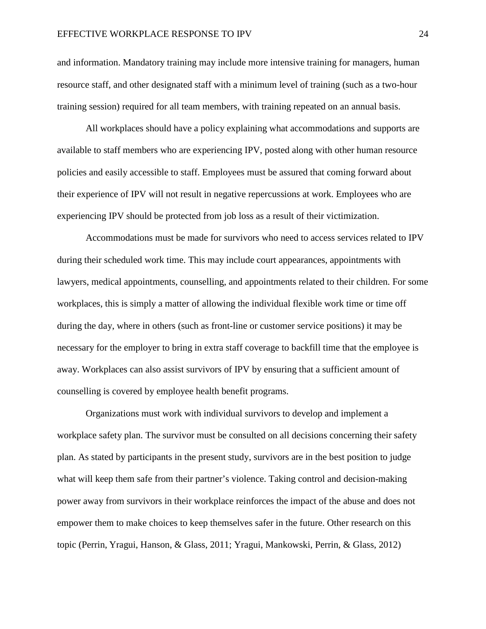and information. Mandatory training may include more intensive training for managers, human resource staff, and other designated staff with a minimum level of training (such as a two-hour training session) required for all team members, with training repeated on an annual basis.

All workplaces should have a policy explaining what accommodations and supports are available to staff members who are experiencing IPV, posted along with other human resource policies and easily accessible to staff. Employees must be assured that coming forward about their experience of IPV will not result in negative repercussions at work. Employees who are experiencing IPV should be protected from job loss as a result of their victimization.

Accommodations must be made for survivors who need to access services related to IPV during their scheduled work time. This may include court appearances, appointments with lawyers, medical appointments, counselling, and appointments related to their children. For some workplaces, this is simply a matter of allowing the individual flexible work time or time off during the day, where in others (such as front-line or customer service positions) it may be necessary for the employer to bring in extra staff coverage to backfill time that the employee is away. Workplaces can also assist survivors of IPV by ensuring that a sufficient amount of counselling is covered by employee health benefit programs.

Organizations must work with individual survivors to develop and implement a workplace safety plan. The survivor must be consulted on all decisions concerning their safety plan. As stated by participants in the present study, survivors are in the best position to judge what will keep them safe from their partner's violence. Taking control and decision-making power away from survivors in their workplace reinforces the impact of the abuse and does not empower them to make choices to keep themselves safer in the future. Other research on this topic (Perrin, Yragui, Hanson, & Glass, 2011; Yragui, Mankowski, Perrin, & Glass, 2012)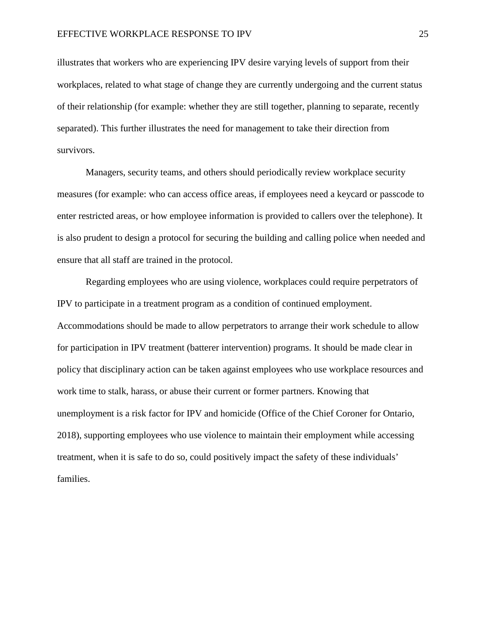illustrates that workers who are experiencing IPV desire varying levels of support from their workplaces, related to what stage of change they are currently undergoing and the current status of their relationship (for example: whether they are still together, planning to separate, recently separated). This further illustrates the need for management to take their direction from survivors.

Managers, security teams, and others should periodically review workplace security measures (for example: who can access office areas, if employees need a keycard or passcode to enter restricted areas, or how employee information is provided to callers over the telephone). It is also prudent to design a protocol for securing the building and calling police when needed and ensure that all staff are trained in the protocol.

Regarding employees who are using violence, workplaces could require perpetrators of IPV to participate in a treatment program as a condition of continued employment. Accommodations should be made to allow perpetrators to arrange their work schedule to allow for participation in IPV treatment (batterer intervention) programs. It should be made clear in policy that disciplinary action can be taken against employees who use workplace resources and work time to stalk, harass, or abuse their current or former partners. Knowing that unemployment is a risk factor for IPV and homicide (Office of the Chief Coroner for Ontario, 2018), supporting employees who use violence to maintain their employment while accessing treatment, when it is safe to do so, could positively impact the safety of these individuals' families.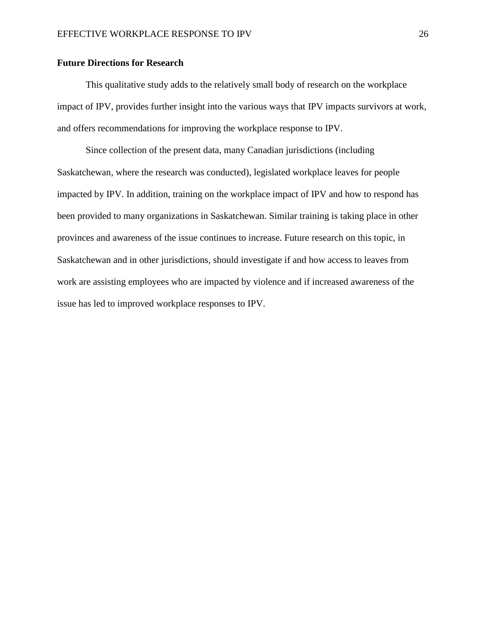# **Future Directions for Research**

This qualitative study adds to the relatively small body of research on the workplace impact of IPV, provides further insight into the various ways that IPV impacts survivors at work, and offers recommendations for improving the workplace response to IPV.

Since collection of the present data, many Canadian jurisdictions (including Saskatchewan, where the research was conducted), legislated workplace leaves for people impacted by IPV. In addition, training on the workplace impact of IPV and how to respond has been provided to many organizations in Saskatchewan. Similar training is taking place in other provinces and awareness of the issue continues to increase. Future research on this topic, in Saskatchewan and in other jurisdictions, should investigate if and how access to leaves from work are assisting employees who are impacted by violence and if increased awareness of the issue has led to improved workplace responses to IPV.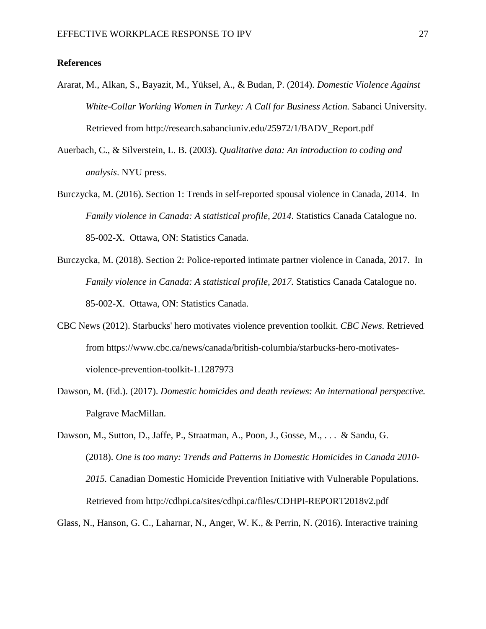# **References**

- Ararat, M., Alkan, S., Bayazit, M., Yüksel, A., & Budan, P. (2014). *Domestic Violence Against White-Collar Working Women in Turkey: A Call for Business Action.* Sabanci University. Retrieved from http://research.sabanciuniv.edu/25972/1/BADV\_Report.pdf
- Auerbach, C., & Silverstein, L. B. (2003). *Qualitative data: An introduction to coding and analysis*. NYU press.
- Burczycka, M. (2016). Section 1: Trends in self-reported spousal violence in Canada, 2014. In *Family violence in Canada: A statistical profile, 2014*. Statistics Canada Catalogue no. 85-002-X. Ottawa, ON: Statistics Canada.
- Burczycka, M. (2018). Section 2: Police-reported intimate partner violence in Canada, 2017. In *Family violence in Canada: A statistical profile, 2017.* Statistics Canada Catalogue no. 85-002-X. Ottawa, ON: Statistics Canada.
- CBC News (2012). Starbucks' hero motivates violence prevention toolkit. *CBC News.* Retrieved from https://www.cbc.ca/news/canada/british-columbia/starbucks-hero-motivatesviolence-prevention-toolkit-1.1287973
- Dawson, M. (Ed.). (2017). *Domestic homicides and death reviews: An international perspective.* Palgrave MacMillan.

Dawson, M., Sutton, D., Jaffe, P., Straatman, A., Poon, J., Gosse, M., . . . & Sandu, G. (2018). *One is too many: Trends and Patterns in Domestic Homicides in Canada 2010- 2015.* Canadian Domestic Homicide Prevention Initiative with Vulnerable Populations. Retrieved from http://cdhpi.ca/sites/cdhpi.ca/files/CDHPI-REPORT2018v2.pdf

Glass, N., Hanson, G. C., Laharnar, N., Anger, W. K., & Perrin, N. (2016). Interactive training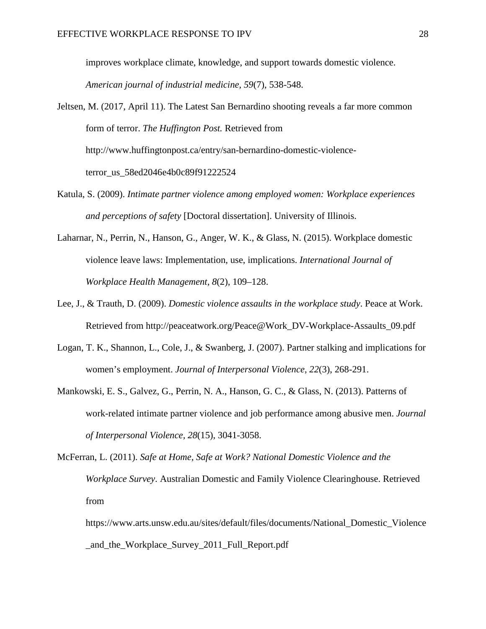improves workplace climate, knowledge, and support towards domestic violence.

*American journal of industrial medicine, 59*(7), 538-548.

Jeltsen, M. (2017, April 11). The Latest San Bernardino shooting reveals a far more common form of terror. *The Huffington Post.* Retrieved from [http://www.huffingtonpost.ca/entry/san-bernardino-domestic-violence](http://www.huffingtonpost.ca/entry/san-bernardino-domestic-violence-terror_us_58ed2046e4b0c89f91222524)[terror\\_us\\_58ed2046e4b0c89f91222524](http://www.huffingtonpost.ca/entry/san-bernardino-domestic-violence-terror_us_58ed2046e4b0c89f91222524)

- Katula, S. (2009). *Intimate partner violence among employed women: Workplace experiences and perceptions of safety* [Doctoral dissertation]. University of Illinois.
- Laharnar, N., Perrin, N., Hanson, G., Anger, W. K., & Glass, N. (2015). Workplace domestic violence leave laws: Implementation, use, implications. *International Journal of Workplace Health Management, 8*(2), 109–128.
- Lee, J., & Trauth, D. (2009). *Domestic violence assaults in the workplace study*. Peace at Work. Retrieved from [http://peaceatwork.org/Peace@Work\\_DV-Workplace-Assaults\\_09.pdf](http://peaceatwork.org/Peace@Work_DV-Workplace-Assaults_09.pdf)
- Logan, T. K., Shannon, L., Cole, J., & Swanberg, J. (2007). Partner stalking and implications for women's employment. *Journal of Interpersonal Violence, 22*(3), 268-291.
- Mankowski, E. S., Galvez, G., Perrin, N. A., Hanson, G. C., & Glass, N. (2013). Patterns of work-related intimate partner violence and job performance among abusive men. *Journal of Interpersonal Violence, 28*(15), 3041-3058.

McFerran, L. (2011). *Safe at Home, Safe at Work? National Domestic Violence and the Workplace Survey*. Australian Domestic and Family Violence Clearinghouse. Retrieved from

https://www.arts.unsw.edu.au/sites/default/files/documents/National\_Domestic\_Violence \_and\_the\_Workplace\_Survey\_2011\_Full\_Report.pdf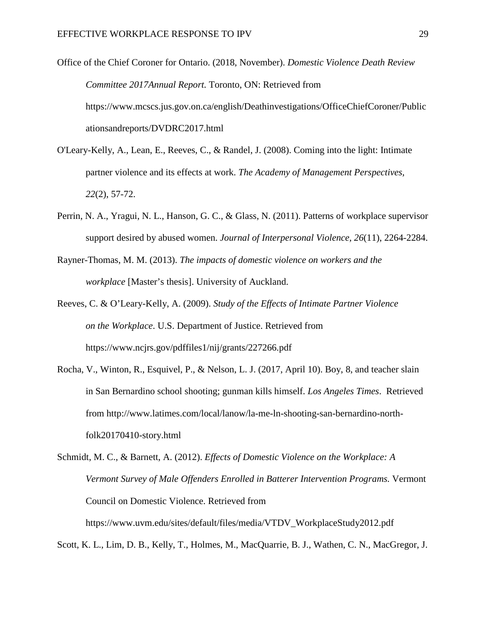Office of the Chief Coroner for Ontario. (2018, November). *Domestic Violence Death Review Committee 2017Annual Report.* Toronto, ON: Retrieved from https://www.mcscs.jus.gov.on.ca/english/Deathinvestigations/OfficeChiefCoroner/Public ationsandreports/DVDRC2017.html

- O'Leary-Kelly, A., Lean, E., Reeves, C., & Randel, J. (2008). Coming into the light: Intimate partner violence and its effects at work. *The Academy of Management Perspectives, 22*(2), 57-72.
- Perrin, N. A., Yragui, N. L., Hanson, G. C., & Glass, N. (2011). Patterns of workplace supervisor support desired by abused women. *Journal of Interpersonal Violence, 26*(11), 2264-2284.
- Rayner-Thomas, M. M. (2013). *The impacts of domestic violence on workers and the workplace* [Master's thesis]. University of Auckland.
- Reeves, C. & O'Leary-Kelly, A. (2009). *Study of the Effects of Intimate Partner Violence on the Workplace*. U.S. Department of Justice. Retrieved from https://www.ncjrs.gov/pdffiles1/nij/grants/227266.pdf
- Rocha, V., Winton, R., Esquivel, P., & Nelson, L. J. (2017, April 10). Boy, 8, and teacher slain in San Bernardino school shooting; gunman kills himself. *Los Angeles Times*. Retrieved from [http://www.latimes.com/local/lanow/la-me-ln-shooting-san-bernardino-north](http://www.latimes.com/local/lanow/la-me-ln-shooting-san-bernardino-north-folk20170410-story.html)[folk20170410-story.html](http://www.latimes.com/local/lanow/la-me-ln-shooting-san-bernardino-north-folk20170410-story.html)

Schmidt, M. C., & Barnett, A. (2012). *Effects of Domestic Violence on the Workplace: A Vermont Survey of Male Offenders Enrolled in Batterer Intervention Programs.* Vermont Council on Domestic Violence. Retrieved from https://www.uvm.edu/sites/default/files/media/VTDV\_WorkplaceStudy2012.pdf

Scott, K. L., Lim, D. B., Kelly, T., Holmes, M., MacQuarrie, B. J., Wathen, C. N., MacGregor, J.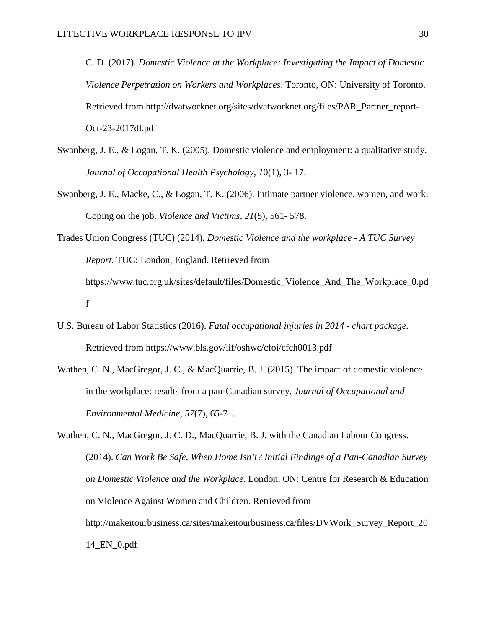C. D. (2017). *Domestic Violence at the Workplace: Investigating the Impact of Domestic Violence Perpetration on Workers and Workplaces*. Toronto, ON: University of Toronto. Retrieved from http://dvatworknet.org/sites/dvatworknet.org/files/PAR\_Partner\_report-Oct-23-2017dl.pdf

- Swanberg, J. E., & Logan, T. K. (2005). Domestic violence and employment: a qualitative study. *Journal of Occupational Health Psychology, 1*0(1), 3- 17.
- Swanberg, J. E., Macke, C., & Logan, T. K. (2006). Intimate partner violence, women, and work: Coping on the job. *Violence and Victims, 21*(5), 561- 578.
- Trades Union Congress (TUC) (2014). *Domestic Violence and the workplace - A TUC Survey Report.* TUC: London, England. Retrieved from [https://www.tuc.org.uk/sites/default/files/Domestic\\_Violence\\_And\\_The\\_Workplace\\_0.pd](https://www.tuc.org.uk/sites/default/files/Domestic_Violence_And_The_Workplace_0.pdf) [f](https://www.tuc.org.uk/sites/default/files/Domestic_Violence_And_The_Workplace_0.pdf)
- U.S. Bureau of Labor Statistics (2016). *Fatal occupational injuries in 2014 - chart package.*  Retrieved from https://www.bls.gov/iif/oshwc/cfoi/cfch0013.pdf
- Wathen, C. N., MacGregor, J. C., & MacQuarrie, B. J. (2015). The impact of domestic violence in the workplace: results from a pan-Canadian survey. *Journal of Occupational and Environmental Medicine, 57*(7), 65-71.

Wathen, C. N., MacGregor, J. C. D., MacQuarrie, B. J. with the Canadian Labour Congress. (2014). *Can Work Be Safe, When Home Isn't? Initial Findings of a Pan-Canadian Survey on Domestic Violence and the Workplace.* London, ON: Centre for Research & Education on Violence Against Women and Children. Retrieved from http://makeitourbusiness.ca/sites/makeitourbusiness.ca/files/DVWork\_Survey\_Report\_20 14\_EN\_0.pdf